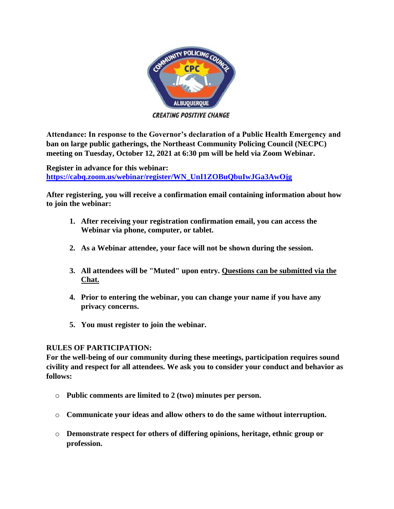

**CREATING POSITIVE CHANGE** 

**Attendance: In response to the Governor's declaration of a Public Health Emergency and ban on large public gatherings, the Northeast Community Policing Council (NECPC) meeting on Tuesday, October 12, 2021 at 6:30 pm will be held via Zoom Webinar.**

**Register in advance for this webinar: [https://cabq.zoom.us/webinar/register/WN\\_UnI1ZOBuQbuIwJGa3AwOjg](https://cabq.zoom.us/webinar/register/WN_UnI1ZOBuQbuIwJGa3AwOjg)**

**After registering, you will receive a confirmation email containing information about how to join the webinar:**

- **1. After receiving your registration confirmation email, you can access the Webinar via phone, computer, or tablet.**
- **2. As a Webinar attendee, your face will not be shown during the session.**
- **3. All attendees will be "Muted" upon entry. Questions can be submitted via the Chat.**
- **4. Prior to entering the webinar, you can change your name if you have any privacy concerns.**
- **5. You must register to join the webinar.**

## **RULES OF PARTICIPATION:**

**For the well-being of our community during these meetings, participation requires sound civility and respect for all attendees. We ask you to consider your conduct and behavior as follows:**

- o **Public comments are limited to 2 (two) minutes per person.**
- o **Communicate your ideas and allow others to do the same without interruption.**
- o **Demonstrate respect for others of differing opinions, heritage, ethnic group or profession.**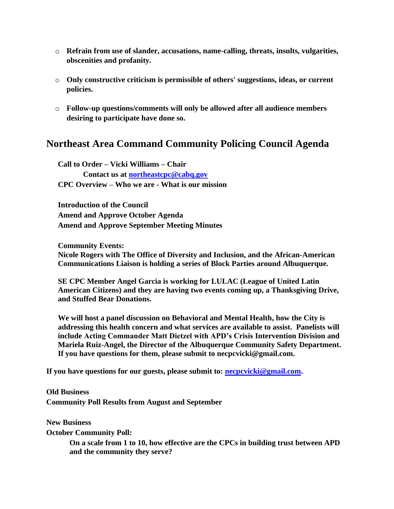- o **Refrain from use of slander, accusations, name-calling, threats, insults, vulgarities, obscenities and profanity.**
- o **Only constructive criticism is permissible of others' suggestions, ideas, or current policies.**
- o **Follow-up questions/comments will only be allowed after all audience members desiring to participate have done so.**

## **Northeast Area Command Community Policing Council Agenda**

**Call to Order – Vicki Williams – Chair Contact us at [northeastcpc@cabq.gov](mailto:northeastcpc@cabq.gov) CPC Overview – Who we are - What is our mission**

**Introduction of the Council Amend and Approve October Agenda Amend and Approve September Meeting Minutes**

**Community Events: Nicole Rogers with The Office of Diversity and Inclusion, and the African-American Communications Liaison is holding a series of Block Parties around Albuquerque.** 

**SE CPC Member Angel Garcia is working for LULAC (League of United Latin American Citizens) and they are having two events coming up, a Thanksgiving Drive, and Stuffed Bear Donations.** 

**We will host a panel discussion on Behavioral and Mental Health, how the City is addressing this health concern and what services are available to assist. Panelists will include Acting Commander Matt Dietzel with APD's Crisis Intervention Division and Mariela Ruiz-Angel, the Director of the Albuquerque Community Safety Department. If you have questions for them, please submit to [necpcvicki@gmail.com.](mailto:necpcvicki@gmail.com)**

**If you have questions for our guests, please submit to: [necpcvicki@gmail.com.](mailto:necpcvicki@gmail.com)**

**Old Business Community Poll Results from August and September** 

**New Business**

**October Community Poll:**

**On a scale from 1 to 10, how effective are the CPCs in building trust between APD and the community they serve?**